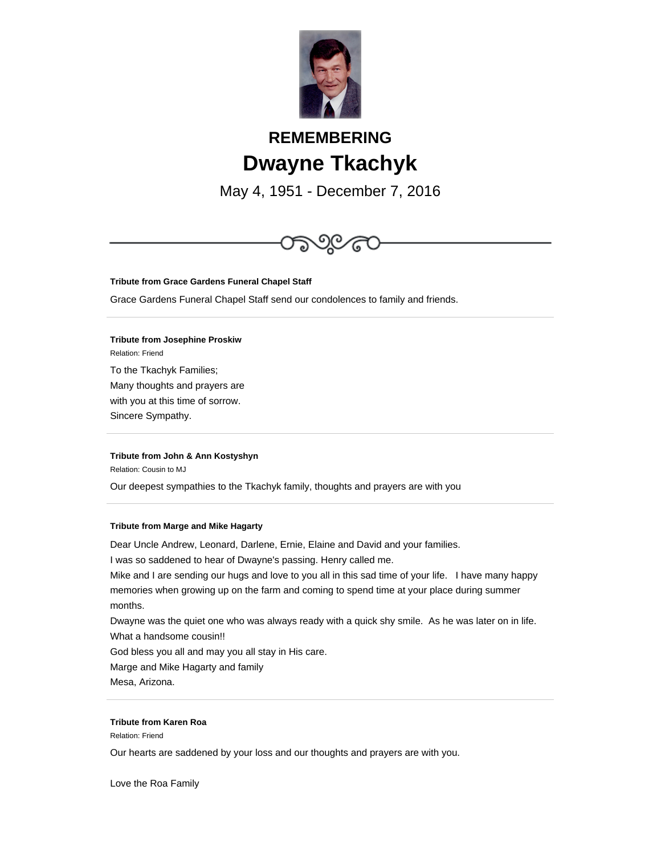

# **REMEMBERING Dwayne Tkachyk**

May 4, 1951 - December 7, 2016



#### **Tribute from Grace Gardens Funeral Chapel Staff**

Grace Gardens Funeral Chapel Staff send our condolences to family and friends.

### **Tribute from Josephine Proskiw**

Relation: Friend To the Tkachyk Families; Many thoughts and prayers are with you at this time of sorrow. Sincere Sympathy.

#### **Tribute from John & Ann Kostyshyn**

Relation: Cousin to MJ

Our deepest sympathies to the Tkachyk family, thoughts and prayers are with you

#### **Tribute from Marge and Mike Hagarty**

Dear Uncle Andrew, Leonard, Darlene, Ernie, Elaine and David and your families.

I was so saddened to hear of Dwayne's passing. Henry called me.

Mike and I are sending our hugs and love to you all in this sad time of your life. I have many happy memories when growing up on the farm and coming to spend time at your place during summer months.

Dwayne was the quiet one who was always ready with a quick shy smile. As he was later on in life. What a handsome cousin!!

God bless you all and may you all stay in His care.

Marge and Mike Hagarty and family

Mesa, Arizona.

#### **Tribute from Karen Roa**

Relation: Friend

Our hearts are saddened by your loss and our thoughts and prayers are with you.

Love the Roa Family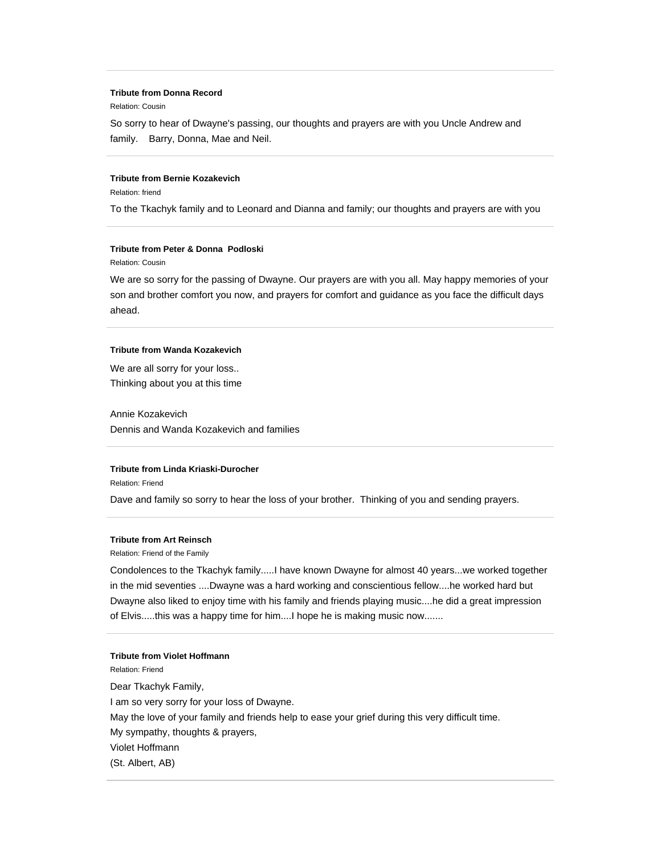#### **Tribute from Donna Record**

Relation: Cousin

So sorry to hear of Dwayne's passing, our thoughts and prayers are with you Uncle Andrew and family. Barry, Donna, Mae and Neil.

#### **Tribute from Bernie Kozakevich**

Relation: friend

To the Tkachyk family and to Leonard and Dianna and family; our thoughts and prayers are with you

#### **Tribute from Peter & Donna Podloski**

Relation: Cousin

We are so sorry for the passing of Dwayne. Our prayers are with you all. May happy memories of your son and brother comfort you now, and prayers for comfort and guidance as you face the difficult days ahead.

#### **Tribute from Wanda Kozakevich**

We are all sorry for your loss.. Thinking about you at this time

Annie Kozakevich Dennis and Wanda Kozakevich and families

#### **Tribute from Linda Kriaski-Durocher**

Relation: Friend

Dave and family so sorry to hear the loss of your brother. Thinking of you and sending prayers.

#### **Tribute from Art Reinsch**

Relation: Friend of the Family

Condolences to the Tkachyk family.....I have known Dwayne for almost 40 years...we worked together in the mid seventies ....Dwayne was a hard working and conscientious fellow....he worked hard but Dwayne also liked to enjoy time with his family and friends playing music....he did a great impression of Elvis.....this was a happy time for him....I hope he is making music now.......

## **Tribute from Violet Hoffmann** Relation: Friend Dear Tkachyk Family, I am so very sorry for your loss of Dwayne.

May the love of your family and friends help to ease your grief during this very difficult time.

My sympathy, thoughts & prayers,

Violet Hoffmann

(St. Albert, AB)